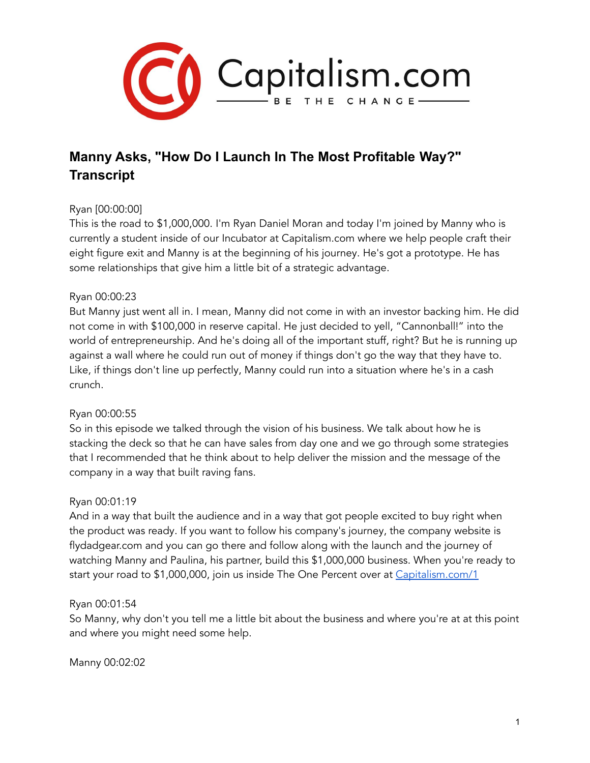

# **Manny Asks, "How Do I Launch In The Most Profitable Way?" Transcript**

# Ryan [00:00:00]

This is the road to \$1,000,000. I'm Ryan Daniel Moran and today I'm joined by Manny who is currently a student inside of our Incubator at Capitalism.com where we help people craft their eight figure exit and Manny is at the beginning of his journey. He's got a prototype. He has some relationships that give him a little bit of a strategic advantage.

## Ryan 00:00:23

But Manny just went all in. I mean, Manny did not come in with an investor backing him. He did not come in with \$100,000 in reserve capital. He just decided to yell, "Cannonball!" into the world of entrepreneurship. And he's doing all of the important stuff, right? But he is running up against a wall where he could run out of money if things don't go the way that they have to. Like, if things don't line up perfectly, Manny could run into a situation where he's in a cash crunch.

## Ryan 00:00:55

So in this episode we talked through the vision of his business. We talk about how he is stacking the deck so that he can have sales from day one and we go through some strategies that I recommended that he think about to help deliver the mission and the message of the company in a way that built raving fans.

#### Ryan 00:01:19

And in a way that built the audience and in a way that got people excited to buy right when the product was ready. If you want to follow his company's journey, the company website is flydadgear.com and you can go there and follow along with the launch and the journey of watching Manny and Paulina, his partner, build this \$1,000,000 business. When you're ready to start your road to \$1,000,000, join us inside The One Percent over at [Capitalism.com/1](http://capitalism.com/one)

#### Ryan 00:01:54

So Manny, why don't you tell me a little bit about the business and where you're at at this point and where you might need some help.

Manny 00:02:02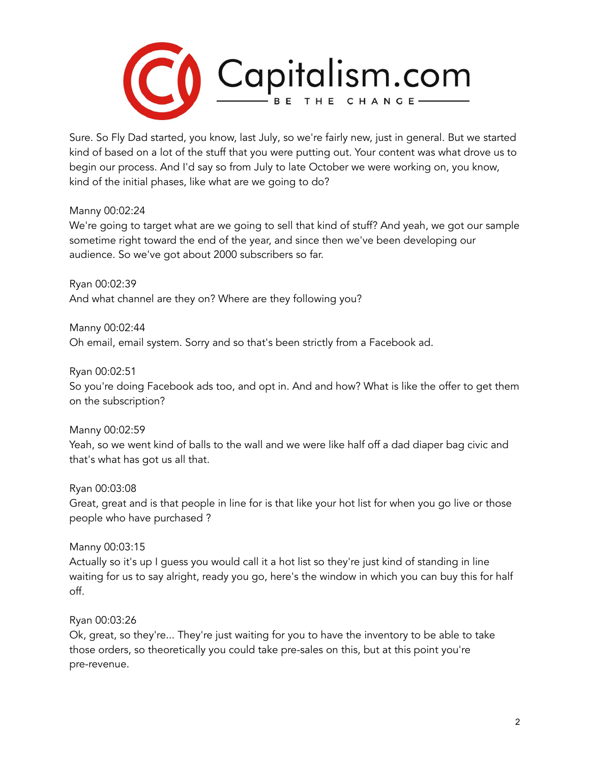

Sure. So Fly Dad started, you know, last July, so we're fairly new, just in general. But we started kind of based on a lot of the stuff that you were putting out. Your content was what drove us to begin our process. And I'd say so from July to late October we were working on, you know, kind of the initial phases, like what are we going to do?

## Manny 00:02:24

We're going to target what are we going to sell that kind of stuff? And yeah, we got our sample sometime right toward the end of the year, and since then we've been developing our audience. So we've got about 2000 subscribers so far.

Ryan 00:02:39 And what channel are they on? Where are they following you?

Manny 00:02:44 Oh email, email system. Sorry and so that's been strictly from a Facebook ad.

Ryan 00:02:51

So you're doing Facebook ads too, and opt in. And and how? What is like the offer to get them on the subscription?

Manny 00:02:59

Yeah, so we went kind of balls to the wall and we were like half off a dad diaper bag civic and that's what has got us all that.

Ryan 00:03:08

Great, great and is that people in line for is that like your hot list for when you go live or those people who have purchased ?

Manny 00:03:15

Actually so it's up I guess you would call it a hot list so they're just kind of standing in line waiting for us to say alright, ready you go, here's the window in which you can buy this for half off.

Ryan 00:03:26

Ok, great, so they're... They're just waiting for you to have the inventory to be able to take those orders, so theoretically you could take pre-sales on this, but at this point you're pre-revenue.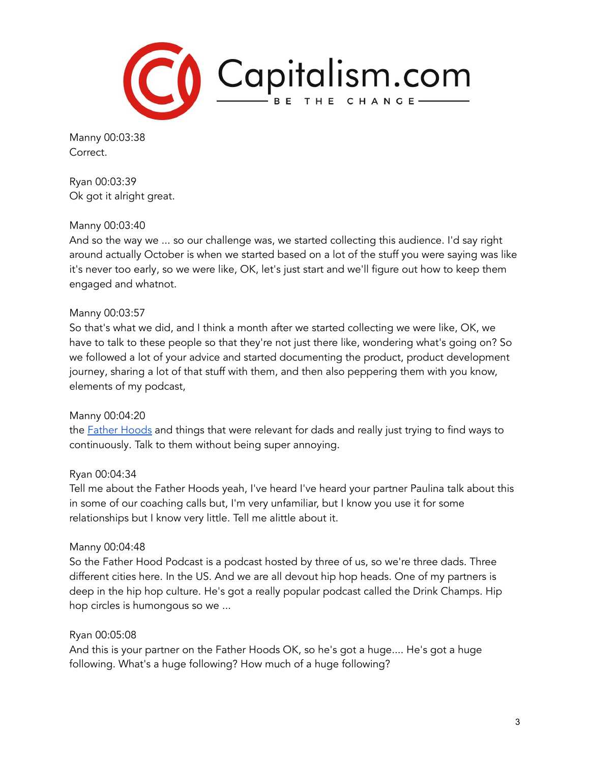

Manny 00:03:38 Correct.

Ryan 00:03:39 Ok got it alright great.

## Manny 00:03:40

And so the way we ... so our challenge was, we started collecting this audience. I'd say right around actually October is when we started based on a lot of the stuff you were saying was like it's never too early, so we were like, OK, let's just start and we'll figure out how to keep them engaged and whatnot.

## Manny 00:03:57

So that's what we did, and I think a month after we started collecting we were like, OK, we have to talk to these people so that they're not just there like, wondering what's going on? So we followed a lot of your advice and started documenting the product, product development journey, sharing a lot of that stuff with them, and then also peppering them with you know, elements of my podcast,

## Manny 00:04:20

the **Father [Hoods](https://podcasts.apple.com/us/podcast/father-hoods/id1436617148)** and things that were relevant for dads and really just trying to find ways to continuously. Talk to them without being super annoying.

## Ryan 00:04:34

Tell me about the Father Hoods yeah, I've heard I've heard your partner Paulina talk about this in some of our coaching calls but, I'm very unfamiliar, but I know you use it for some relationships but I know very little. Tell me alittle about it.

#### Manny 00:04:48

So the Father Hood Podcast is a podcast hosted by three of us, so we're three dads. Three different cities here. In the US. And we are all devout hip hop heads. One of my partners is deep in the hip hop culture. He's got a really popular podcast called the Drink Champs. Hip hop circles is humongous so we ...

## Ryan 00:05:08

And this is your partner on the Father Hoods OK, so he's got a huge.... He's got a huge following. What's a huge following? How much of a huge following?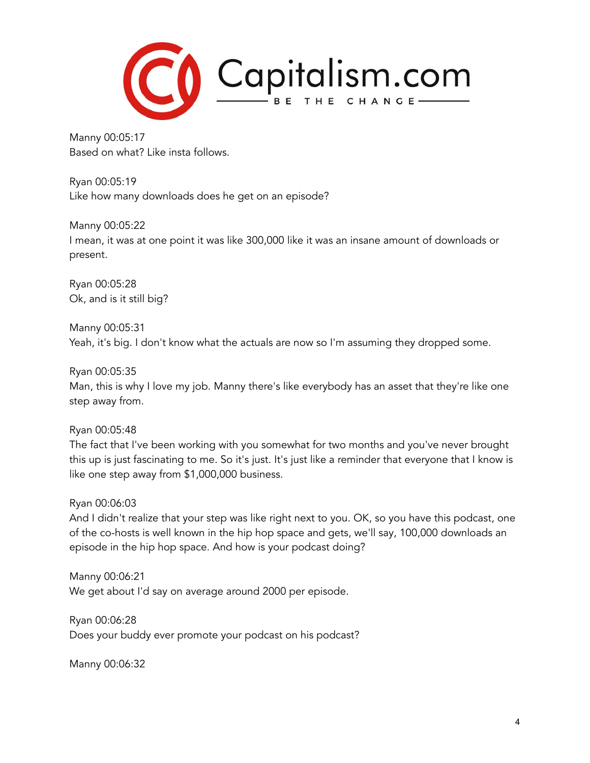

Manny 00:05:17 Based on what? Like insta follows.

Ryan 00:05:19 Like how many downloads does he get on an episode?

Manny 00:05:22 I mean, it was at one point it was like 300,000 like it was an insane amount of downloads or present.

Ryan 00:05:28 Ok, and is it still big?

Manny 00:05:31 Yeah, it's big. I don't know what the actuals are now so I'm assuming they dropped some.

Ryan 00:05:35

Man, this is why I love my job. Manny there's like everybody has an asset that they're like one step away from.

Ryan 00:05:48

The fact that I've been working with you somewhat for two months and you've never brought this up is just fascinating to me. So it's just. It's just like a reminder that everyone that I know is like one step away from \$1,000,000 business.

Ryan 00:06:03

And I didn't realize that your step was like right next to you. OK, so you have this podcast, one of the co-hosts is well known in the hip hop space and gets, we'll say, 100,000 downloads an episode in the hip hop space. And how is your podcast doing?

Manny 00:06:21 We get about I'd say on average around 2000 per episode.

Ryan 00:06:28 Does your buddy ever promote your podcast on his podcast?

Manny 00:06:32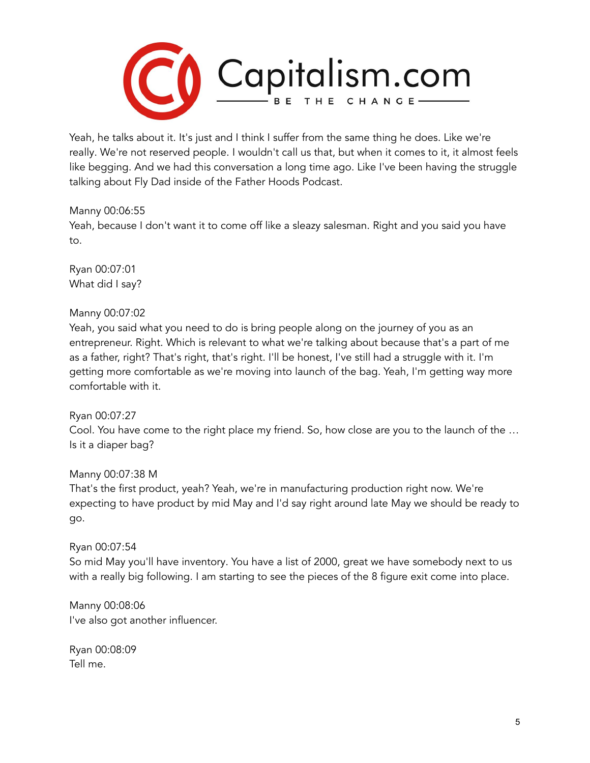

Yeah, he talks about it. It's just and I think I suffer from the same thing he does. Like we're really. We're not reserved people. I wouldn't call us that, but when it comes to it, it almost feels like begging. And we had this conversation a long time ago. Like I've been having the struggle talking about Fly Dad inside of the Father Hoods Podcast.

#### Manny 00:06:55

Yeah, because I don't want it to come off like a sleazy salesman. Right and you said you have to.

Ryan 00:07:01 What did I say?

## Manny 00:07:02

Yeah, you said what you need to do is bring people along on the journey of you as an entrepreneur. Right. Which is relevant to what we're talking about because that's a part of me as a father, right? That's right, that's right. I'll be honest, I've still had a struggle with it. I'm getting more comfortable as we're moving into launch of the bag. Yeah, I'm getting way more comfortable with it.

## Ryan 00:07:27

Cool. You have come to the right place my friend. So, how close are you to the launch of the … Is it a diaper bag?

## Manny 00:07:38 M

That's the first product, yeah? Yeah, we're in manufacturing production right now. We're expecting to have product by mid May and I'd say right around late May we should be ready to go.

## Ryan 00:07:54

So mid May you'll have inventory. You have a list of 2000, great we have somebody next to us with a really big following. I am starting to see the pieces of the 8 figure exit come into place.

Manny 00:08:06 I've also got another influencer.

Ryan 00:08:09 Tell me.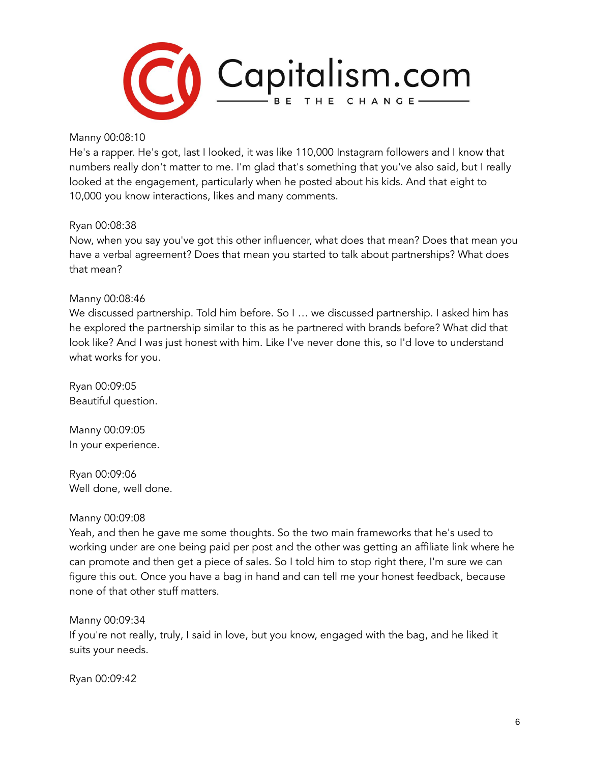

#### Manny 00:08:10

He's a rapper. He's got, last I looked, it was like 110,000 Instagram followers and I know that numbers really don't matter to me. I'm glad that's something that you've also said, but I really looked at the engagement, particularly when he posted about his kids. And that eight to 10,000 you know interactions, likes and many comments.

## Ryan 00:08:38

Now, when you say you've got this other influencer, what does that mean? Does that mean you have a verbal agreement? Does that mean you started to talk about partnerships? What does that mean?

## Manny 00:08:46

We discussed partnership. Told him before. So I ... we discussed partnership. I asked him has he explored the partnership similar to this as he partnered with brands before? What did that look like? And I was just honest with him. Like I've never done this, so I'd love to understand what works for you.

Ryan 00:09:05 Beautiful question.

Manny 00:09:05 In your experience.

Ryan 00:09:06 Well done, well done.

#### Manny 00:09:08

Yeah, and then he gave me some thoughts. So the two main frameworks that he's used to working under are one being paid per post and the other was getting an affiliate link where he can promote and then get a piece of sales. So I told him to stop right there, I'm sure we can figure this out. Once you have a bag in hand and can tell me your honest feedback, because none of that other stuff matters.

Manny 00:09:34

If you're not really, truly, I said in love, but you know, engaged with the bag, and he liked it suits your needs.

Ryan 00:09:42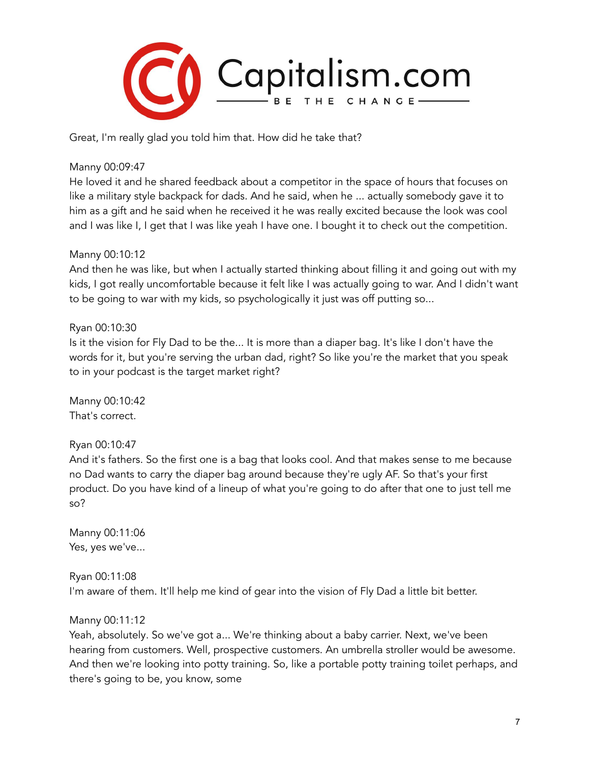

Great, I'm really glad you told him that. How did he take that?

#### Manny 00:09:47

He loved it and he shared feedback about a competitor in the space of hours that focuses on like a military style backpack for dads. And he said, when he ... actually somebody gave it to him as a gift and he said when he received it he was really excited because the look was cool and I was like I, I get that I was like yeah I have one. I bought it to check out the competition.

#### Manny 00:10:12

And then he was like, but when I actually started thinking about filling it and going out with my kids, I got really uncomfortable because it felt like I was actually going to war. And I didn't want to be going to war with my kids, so psychologically it just was off putting so...

## Ryan 00:10:30

Is it the vision for Fly Dad to be the... It is more than a diaper bag. It's like I don't have the words for it, but you're serving the urban dad, right? So like you're the market that you speak to in your podcast is the target market right?

Manny 00:10:42 That's correct.

## Ryan 00:10:47

And it's fathers. So the first one is a bag that looks cool. And that makes sense to me because no Dad wants to carry the diaper bag around because they're ugly AF. So that's your first product. Do you have kind of a lineup of what you're going to do after that one to just tell me so?

Manny 00:11:06 Yes, yes we've...

Ryan 00:11:08 I'm aware of them. It'll help me kind of gear into the vision of Fly Dad a little bit better.

## Manny 00:11:12

Yeah, absolutely. So we've got a... We're thinking about a baby carrier. Next, we've been hearing from customers. Well, prospective customers. An umbrella stroller would be awesome. And then we're looking into potty training. So, like a portable potty training toilet perhaps, and there's going to be, you know, some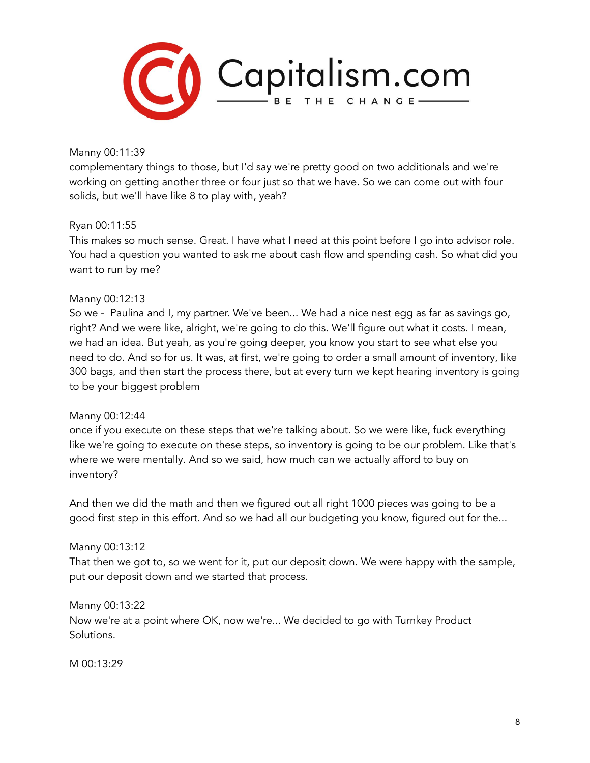

Manny 00:11:39

complementary things to those, but I'd say we're pretty good on two additionals and we're working on getting another three or four just so that we have. So we can come out with four solids, but we'll have like 8 to play with, yeah?

## Ryan 00:11:55

This makes so much sense. Great. I have what I need at this point before I go into advisor role. You had a question you wanted to ask me about cash flow and spending cash. So what did you want to run by me?

#### Manny 00:12:13

So we - Paulina and I, my partner. We've been... We had a nice nest egg as far as savings go, right? And we were like, alright, we're going to do this. We'll figure out what it costs. I mean, we had an idea. But yeah, as you're going deeper, you know you start to see what else you need to do. And so for us. It was, at first, we're going to order a small amount of inventory, like 300 bags, and then start the process there, but at every turn we kept hearing inventory is going to be your biggest problem

#### Manny 00:12:44

once if you execute on these steps that we're talking about. So we were like, fuck everything like we're going to execute on these steps, so inventory is going to be our problem. Like that's where we were mentally. And so we said, how much can we actually afford to buy on inventory?

And then we did the math and then we figured out all right 1000 pieces was going to be a good first step in this effort. And so we had all our budgeting you know, figured out for the...

#### Manny 00:13:12

That then we got to, so we went for it, put our deposit down. We were happy with the sample, put our deposit down and we started that process.

Manny 00:13:22 Now we're at a point where OK, now we're... We decided to go with Turnkey Product Solutions.

M 00:13:29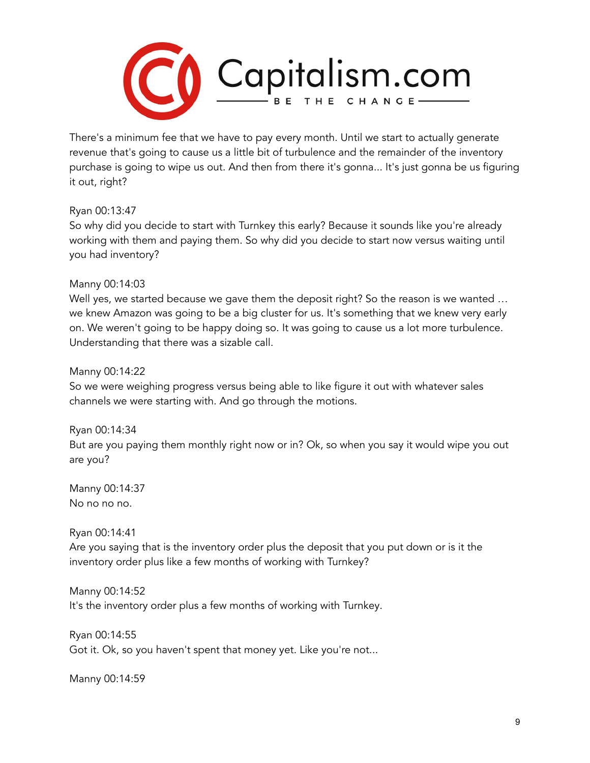

There's a minimum fee that we have to pay every month. Until we start to actually generate revenue that's going to cause us a little bit of turbulence and the remainder of the inventory purchase is going to wipe us out. And then from there it's gonna... It's just gonna be us figuring it out, right?

Ryan 00:13:47

So why did you decide to start with Turnkey this early? Because it sounds like you're already working with them and paying them. So why did you decide to start now versus waiting until you had inventory?

# Manny 00:14:03

Well yes, we started because we gave them the deposit right? So the reason is we wanted ... we knew Amazon was going to be a big cluster for us. It's something that we knew very early on. We weren't going to be happy doing so. It was going to cause us a lot more turbulence. Understanding that there was a sizable call.

Manny 00:14:22

So we were weighing progress versus being able to like figure it out with whatever sales channels we were starting with. And go through the motions.

Ryan 00:14:34 But are you paying them monthly right now or in? Ok, so when you say it would wipe you out are you?

Manny 00:14:37 No no no no.

Ryan 00:14:41

Are you saying that is the inventory order plus the deposit that you put down or is it the inventory order plus like a few months of working with Turnkey?

Manny 00:14:52 It's the inventory order plus a few months of working with Turnkey.

Ryan 00:14:55 Got it. Ok, so you haven't spent that money yet. Like you're not...

Manny 00:14:59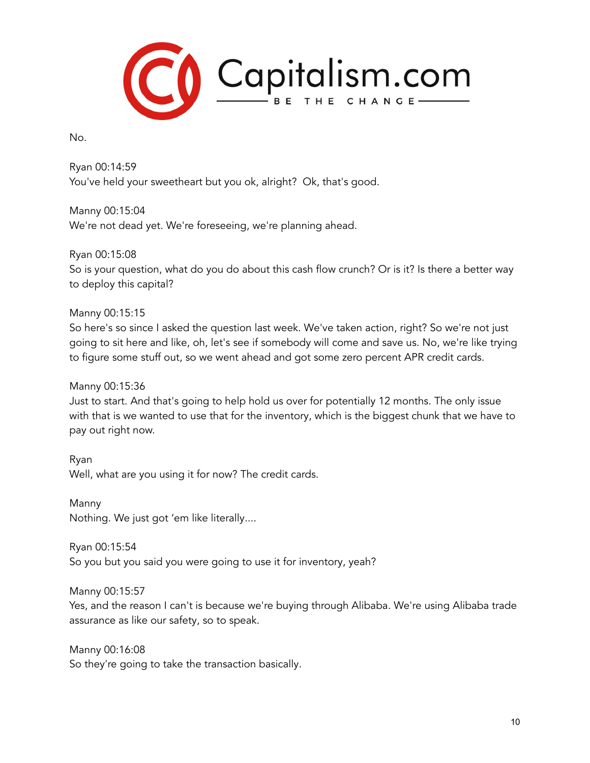

No.

Ryan 00:14:59 You've held your sweetheart but you ok, alright? Ok, that's good.

Manny 00:15:04 We're not dead yet. We're foreseeing, we're planning ahead.

Ryan 00:15:08 So is your question, what do you do about this cash flow crunch? Or is it? Is there a better way to deploy this capital?

Manny 00:15:15 So here's so since I asked the question last week. We've taken action, right? So we're not just going to sit here and like, oh, let's see if somebody will come and save us. No, we're like trying to figure some stuff out, so we went ahead and got some zero percent APR credit cards.

Manny 00:15:36

Just to start. And that's going to help hold us over for potentially 12 months. The only issue with that is we wanted to use that for the inventory, which is the biggest chunk that we have to pay out right now.

Ryan Well, what are you using it for now? The credit cards.

Manny Nothing. We just got 'em like literally....

Ryan 00:15:54 So you but you said you were going to use it for inventory, yeah?

Manny 00:15:57

Yes, and the reason I can't is because we're buying through Alibaba. We're using Alibaba trade assurance as like our safety, so to speak.

Manny 00:16:08 So they're going to take the transaction basically.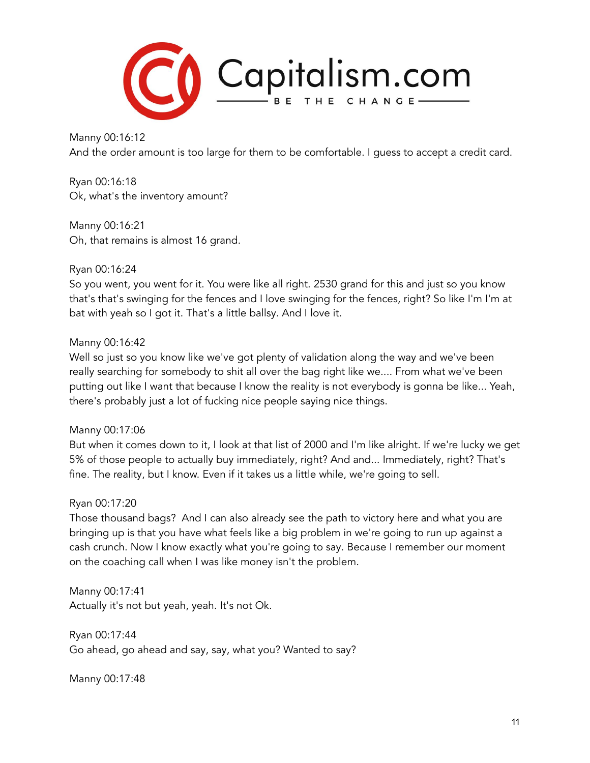

Manny 00:16:12 And the order amount is too large for them to be comfortable. I guess to accept a credit card.

Ryan 00:16:18 Ok, what's the inventory amount?

Manny 00:16:21 Oh, that remains is almost 16 grand.

# Ryan 00:16:24

So you went, you went for it. You were like all right. 2530 grand for this and just so you know that's that's swinging for the fences and I love swinging for the fences, right? So like I'm I'm at bat with yeah so I got it. That's a little ballsy. And I love it.

## Manny 00:16:42

Well so just so you know like we've got plenty of validation along the way and we've been really searching for somebody to shit all over the bag right like we.... From what we've been putting out like I want that because I know the reality is not everybody is gonna be like... Yeah, there's probably just a lot of fucking nice people saying nice things.

## Manny 00:17:06

But when it comes down to it, I look at that list of 2000 and I'm like alright. If we're lucky we get 5% of those people to actually buy immediately, right? And and... Immediately, right? That's fine. The reality, but I know. Even if it takes us a little while, we're going to sell.

## Ryan 00:17:20

Those thousand bags? And I can also already see the path to victory here and what you are bringing up is that you have what feels like a big problem in we're going to run up against a cash crunch. Now I know exactly what you're going to say. Because I remember our moment on the coaching call when I was like money isn't the problem.

Manny 00:17:41 Actually it's not but yeah, yeah. It's not Ok.

Ryan 00:17:44 Go ahead, go ahead and say, say, what you? Wanted to say?

Manny 00:17:48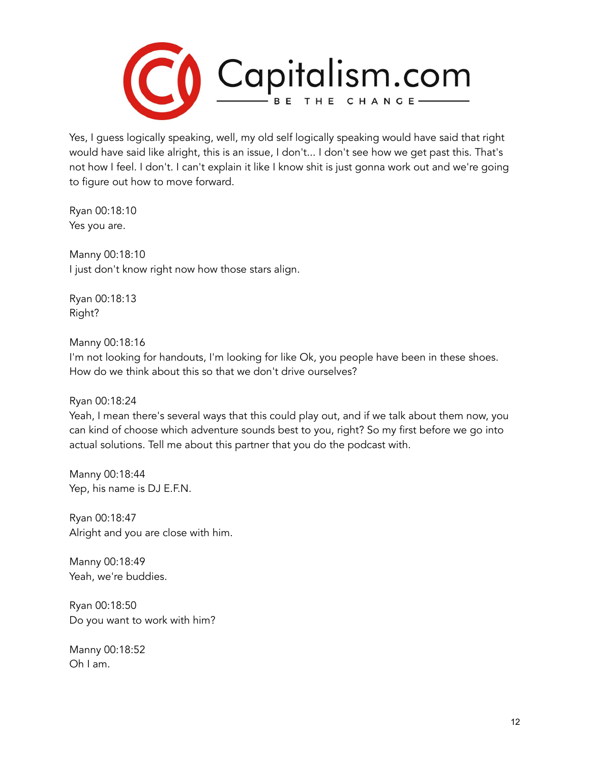

Yes, I guess logically speaking, well, my old self logically speaking would have said that right would have said like alright, this is an issue, I don't... I don't see how we get past this. That's not how I feel. I don't. I can't explain it like I know shit is just gonna work out and we're going to figure out how to move forward.

Ryan 00:18:10 Yes you are.

Manny 00:18:10 I just don't know right now how those stars align.

Ryan 00:18:13 Right?

Manny 00:18:16

I'm not looking for handouts, I'm looking for like Ok, you people have been in these shoes. How do we think about this so that we don't drive ourselves?

Ryan 00:18:24

Yeah, I mean there's several ways that this could play out, and if we talk about them now, you can kind of choose which adventure sounds best to you, right? So my first before we go into actual solutions. Tell me about this partner that you do the podcast with.

Manny 00:18:44 Yep, his name is DJ E.F.N.

Ryan 00:18:47 Alright and you are close with him.

Manny 00:18:49 Yeah, we're buddies.

Ryan 00:18:50 Do you want to work with him?

Manny 00:18:52 Oh I am.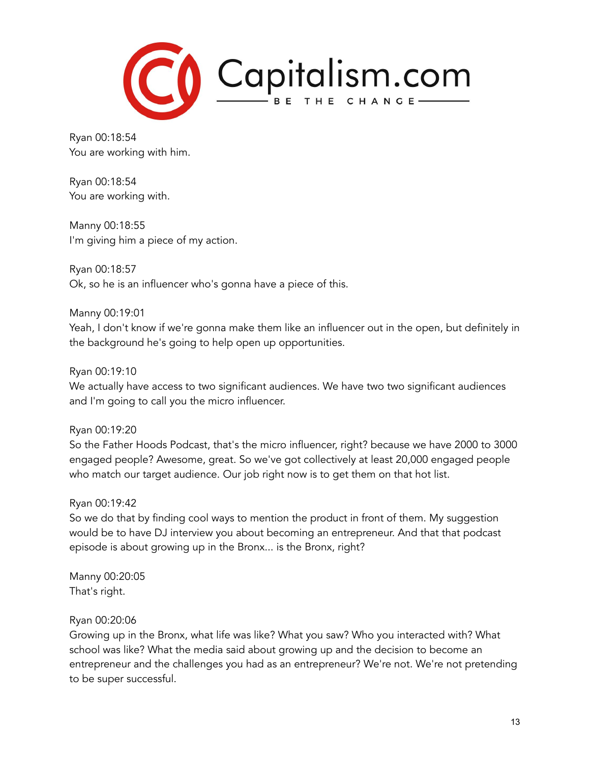

Ryan 00:18:54 You are working with him.

Ryan 00:18:54 You are working with.

Manny 00:18:55 I'm giving him a piece of my action.

Ryan 00:18:57 Ok, so he is an influencer who's gonna have a piece of this.

Manny 00:19:01 Yeah, I don't know if we're gonna make them like an influencer out in the open, but definitely in the background he's going to help open up opportunities.

Ryan 00:19:10

We actually have access to two significant audiences. We have two two significant audiences and I'm going to call you the micro influencer.

Ryan 00:19:20

So the Father Hoods Podcast, that's the micro influencer, right? because we have 2000 to 3000 engaged people? Awesome, great. So we've got collectively at least 20,000 engaged people who match our target audience. Our job right now is to get them on that hot list.

Ryan 00:19:42

So we do that by finding cool ways to mention the product in front of them. My suggestion would be to have DJ interview you about becoming an entrepreneur. And that that podcast episode is about growing up in the Bronx... is the Bronx, right?

Manny 00:20:05 That's right.

# Ryan 00:20:06

Growing up in the Bronx, what life was like? What you saw? Who you interacted with? What school was like? What the media said about growing up and the decision to become an entrepreneur and the challenges you had as an entrepreneur? We're not. We're not pretending to be super successful.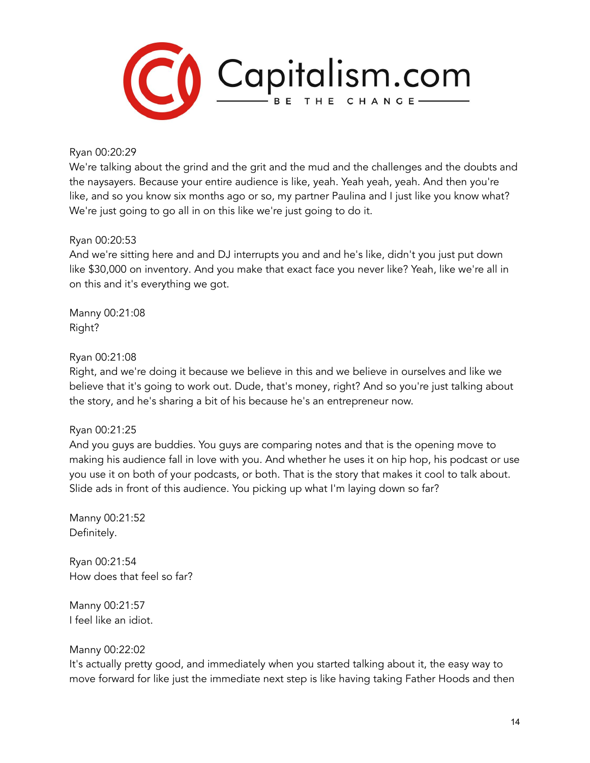

#### Ryan 00:20:29

We're talking about the grind and the grit and the mud and the challenges and the doubts and the naysayers. Because your entire audience is like, yeah. Yeah yeah, yeah. And then you're like, and so you know six months ago or so, my partner Paulina and I just like you know what? We're just going to go all in on this like we're just going to do it.

#### Ryan 00:20:53

And we're sitting here and and DJ interrupts you and and he's like, didn't you just put down like \$30,000 on inventory. And you make that exact face you never like? Yeah, like we're all in on this and it's everything we got.

Manny 00:21:08 Right?

#### Ryan 00:21:08

Right, and we're doing it because we believe in this and we believe in ourselves and like we believe that it's going to work out. Dude, that's money, right? And so you're just talking about the story, and he's sharing a bit of his because he's an entrepreneur now.

## Ryan 00:21:25

And you guys are buddies. You guys are comparing notes and that is the opening move to making his audience fall in love with you. And whether he uses it on hip hop, his podcast or use you use it on both of your podcasts, or both. That is the story that makes it cool to talk about. Slide ads in front of this audience. You picking up what I'm laying down so far?

Manny 00:21:52 Definitely.

Ryan 00:21:54 How does that feel so far?

Manny 00:21:57 I feel like an idiot.

## Manny 00:22:02

It's actually pretty good, and immediately when you started talking about it, the easy way to move forward for like just the immediate next step is like having taking Father Hoods and then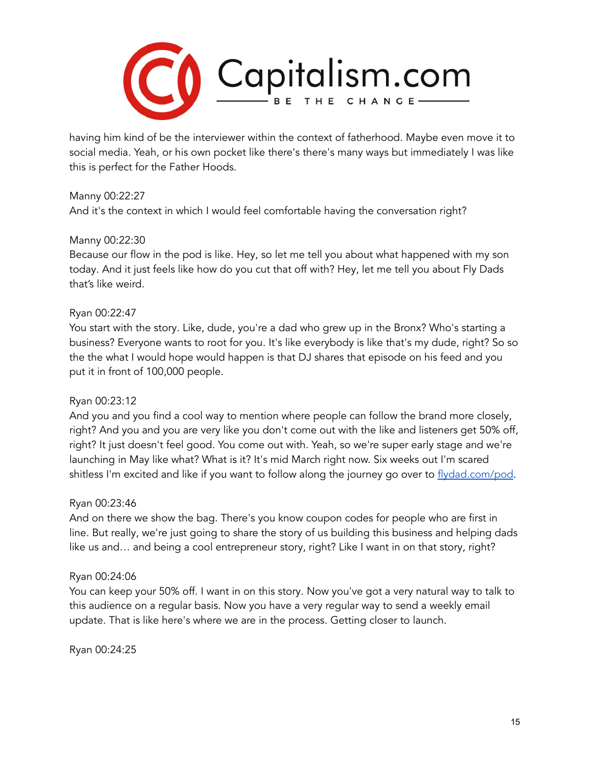

having him kind of be the interviewer within the context of fatherhood. Maybe even move it to social media. Yeah, or his own pocket like there's there's many ways but immediately I was like this is perfect for the Father Hoods.

## Manny 00:22:27

And it's the context in which I would feel comfortable having the conversation right?

#### Manny 00:22:30

Because our flow in the pod is like. Hey, so let me tell you about what happened with my son today. And it just feels like how do you cut that off with? Hey, let me tell you about Fly Dads that's like weird.

#### Ryan 00:22:47

You start with the story. Like, dude, you're a dad who grew up in the Bronx? Who's starting a business? Everyone wants to root for you. It's like everybody is like that's my dude, right? So so the the what I would hope would happen is that DJ shares that episode on his feed and you put it in front of 100,000 people.

## Ryan 00:23:12

And you and you find a cool way to mention where people can follow the brand more closely, right? And you and you are very like you don't come out with the like and listeners get 50% off, right? It just doesn't feel good. You come out with. Yeah, so we're super early stage and we're launching in May like what? What is it? It's mid March right now. Six weeks out I'm scared shitless I'm excited and like if you want to follow along the journey go over to [flydad.com/pod.](http://flydad.com/pod)

#### Ryan 00:23:46

And on there we show the bag. There's you know coupon codes for people who are first in line. But really, we're just going to share the story of us building this business and helping dads like us and… and being a cool entrepreneur story, right? Like I want in on that story, right?

#### Ryan 00:24:06

You can keep your 50% off. I want in on this story. Now you've got a very natural way to talk to this audience on a regular basis. Now you have a very regular way to send a weekly email update. That is like here's where we are in the process. Getting closer to launch.

Ryan 00:24:25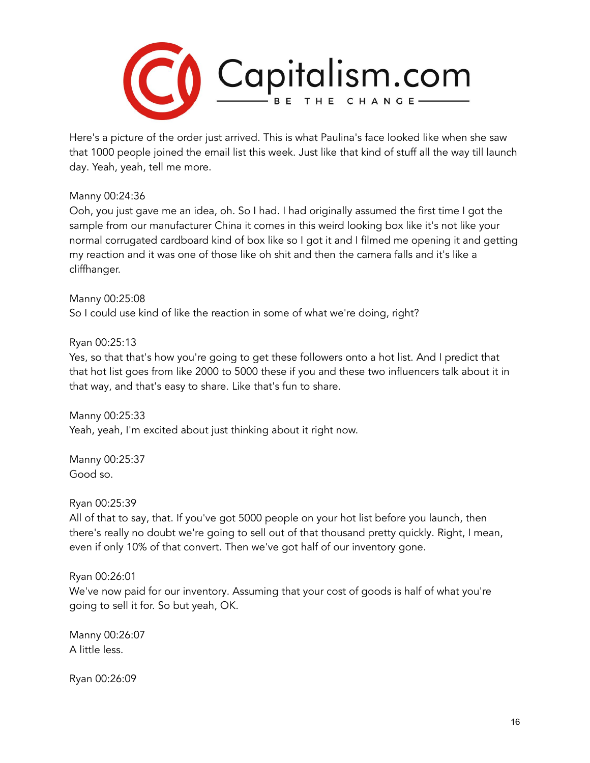

Here's a picture of the order just arrived. This is what Paulina's face looked like when she saw that 1000 people joined the email list this week. Just like that kind of stuff all the way till launch day. Yeah, yeah, tell me more.

#### Manny 00:24:36

Ooh, you just gave me an idea, oh. So I had. I had originally assumed the first time I got the sample from our manufacturer China it comes in this weird looking box like it's not like your normal corrugated cardboard kind of box like so I got it and I filmed me opening it and getting my reaction and it was one of those like oh shit and then the camera falls and it's like a cliffhanger.

Manny 00:25:08 So I could use kind of like the reaction in some of what we're doing, right?

## Ryan 00:25:13

Yes, so that that's how you're going to get these followers onto a hot list. And I predict that that hot list goes from like 2000 to 5000 these if you and these two influencers talk about it in that way, and that's easy to share. Like that's fun to share.

Manny 00:25:33 Yeah, yeah, I'm excited about just thinking about it right now.

Manny 00:25:37 Good so.

Ryan 00:25:39

All of that to say, that. If you've got 5000 people on your hot list before you launch, then there's really no doubt we're going to sell out of that thousand pretty quickly. Right, I mean, even if only 10% of that convert. Then we've got half of our inventory gone.

## Ryan 00:26:01

We've now paid for our inventory. Assuming that your cost of goods is half of what you're going to sell it for. So but yeah, OK.

Manny 00:26:07 A little less.

Ryan 00:26:09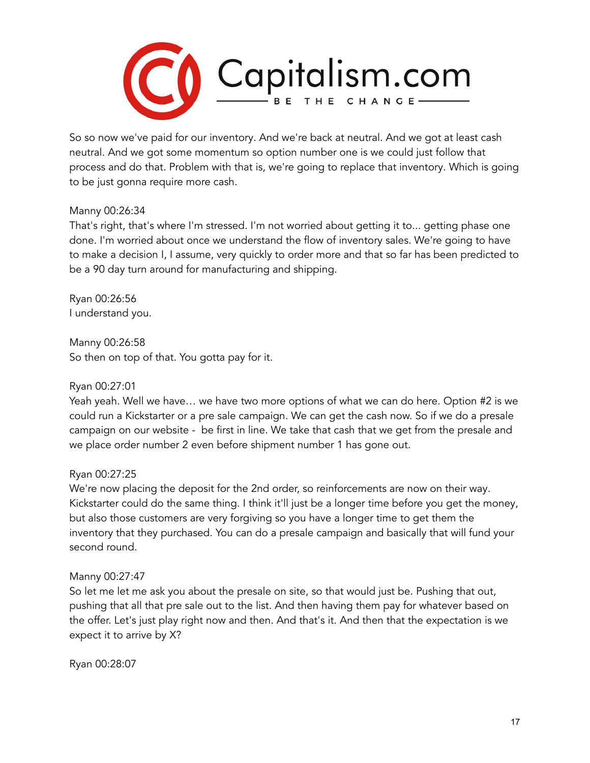

So so now we've paid for our inventory. And we're back at neutral. And we got at least cash neutral. And we got some momentum so option number one is we could just follow that process and do that. Problem with that is, we're going to replace that inventory. Which is going to be just gonna require more cash.

#### Manny 00:26:34

That's right, that's where I'm stressed. I'm not worried about getting it to... getting phase one done. I'm worried about once we understand the flow of inventory sales. We're going to have to make a decision I, I assume, very quickly to order more and that so far has been predicted to be a 90 day turn around for manufacturing and shipping.

Ryan 00:26:56 I understand you.

Manny 00:26:58 So then on top of that. You gotta pay for it.

Ryan 00:27:01

Yeah yeah. Well we have… we have two more options of what we can do here. Option #2 is we could run a Kickstarter or a pre sale campaign. We can get the cash now. So if we do a presale campaign on our website - be first in line. We take that cash that we get from the presale and we place order number 2 even before shipment number 1 has gone out.

## Ryan 00:27:25

We're now placing the deposit for the 2nd order, so reinforcements are now on their way. Kickstarter could do the same thing. I think it'll just be a longer time before you get the money, but also those customers are very forgiving so you have a longer time to get them the inventory that they purchased. You can do a presale campaign and basically that will fund your second round.

#### Manny 00:27:47

So let me let me ask you about the presale on site, so that would just be. Pushing that out, pushing that all that pre sale out to the list. And then having them pay for whatever based on the offer. Let's just play right now and then. And that's it. And then that the expectation is we expect it to arrive by X?

Ryan 00:28:07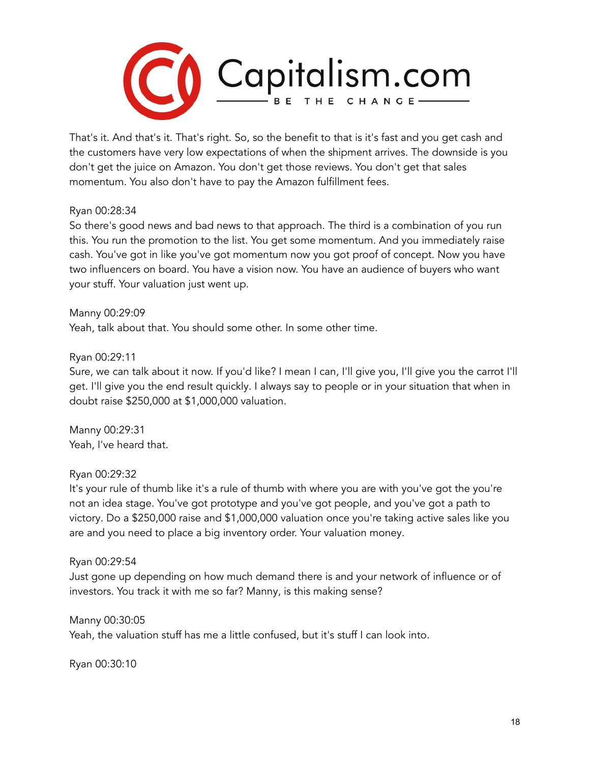

That's it. And that's it. That's right. So, so the benefit to that is it's fast and you get cash and the customers have very low expectations of when the shipment arrives. The downside is you don't get the juice on Amazon. You don't get those reviews. You don't get that sales momentum. You also don't have to pay the Amazon fulfillment fees.

#### Ryan 00:28:34

So there's good news and bad news to that approach. The third is a combination of you run this. You run the promotion to the list. You get some momentum. And you immediately raise cash. You've got in like you've got momentum now you got proof of concept. Now you have two influencers on board. You have a vision now. You have an audience of buyers who want your stuff. Your valuation just went up.

Manny 00:29:09 Yeah, talk about that. You should some other. In some other time.

## Ryan 00:29:11

Sure, we can talk about it now. If you'd like? I mean I can, I'll give you, I'll give you the carrot I'll get. I'll give you the end result quickly. I always say to people or in your situation that when in doubt raise \$250,000 at \$1,000,000 valuation.

Manny 00:29:31 Yeah, I've heard that.

## Ryan 00:29:32

It's your rule of thumb like it's a rule of thumb with where you are with you've got the you're not an idea stage. You've got prototype and you've got people, and you've got a path to victory. Do a \$250,000 raise and \$1,000,000 valuation once you're taking active sales like you are and you need to place a big inventory order. Your valuation money.

## Ryan 00:29:54

Just gone up depending on how much demand there is and your network of influence or of investors. You track it with me so far? Manny, is this making sense?

#### Manny 00:30:05

Yeah, the valuation stuff has me a little confused, but it's stuff I can look into.

Ryan 00:30:10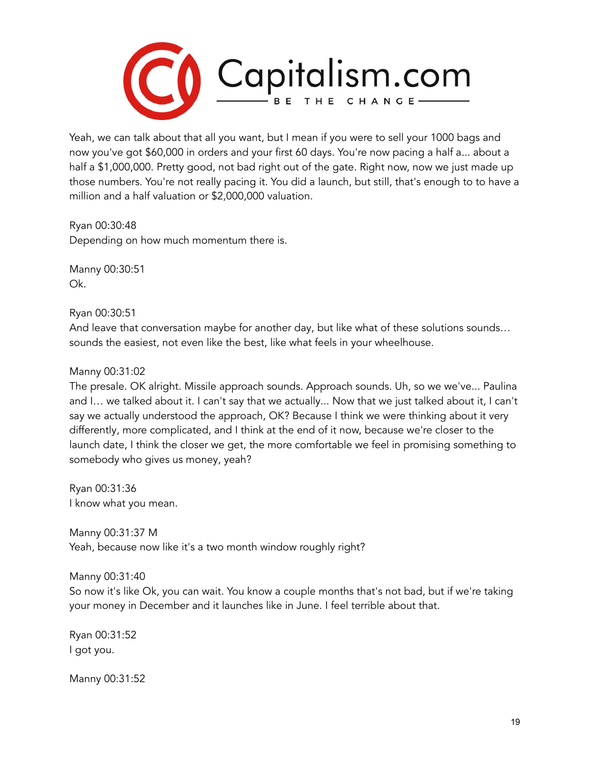

Yeah, we can talk about that all you want, but I mean if you were to sell your 1000 bags and now you've got \$60,000 in orders and your first 60 days. You're now pacing a half a... about a half a \$1,000,000. Pretty good, not bad right out of the gate. Right now, now we just made up those numbers. You're not really pacing it. You did a launch, but still, that's enough to to have a million and a half valuation or \$2,000,000 valuation.

Ryan 00:30:48 Depending on how much momentum there is.

Manny 00:30:51 Ok.

Ryan 00:30:51

And leave that conversation maybe for another day, but like what of these solutions sounds… sounds the easiest, not even like the best, like what feels in your wheelhouse.

Manny 00:31:02

The presale. OK alright. Missile approach sounds. Approach sounds. Uh, so we we've... Paulina and I… we talked about it. I can't say that we actually... Now that we just talked about it, I can't say we actually understood the approach, OK? Because I think we were thinking about it very differently, more complicated, and I think at the end of it now, because we're closer to the launch date, I think the closer we get, the more comfortable we feel in promising something to somebody who gives us money, yeah?

Ryan 00:31:36 I know what you mean.

Manny 00:31:37 M Yeah, because now like it's a two month window roughly right?

Manny 00:31:40

So now it's like Ok, you can wait. You know a couple months that's not bad, but if we're taking your money in December and it launches like in June. I feel terrible about that.

Ryan 00:31:52 I got you.

Manny 00:31:52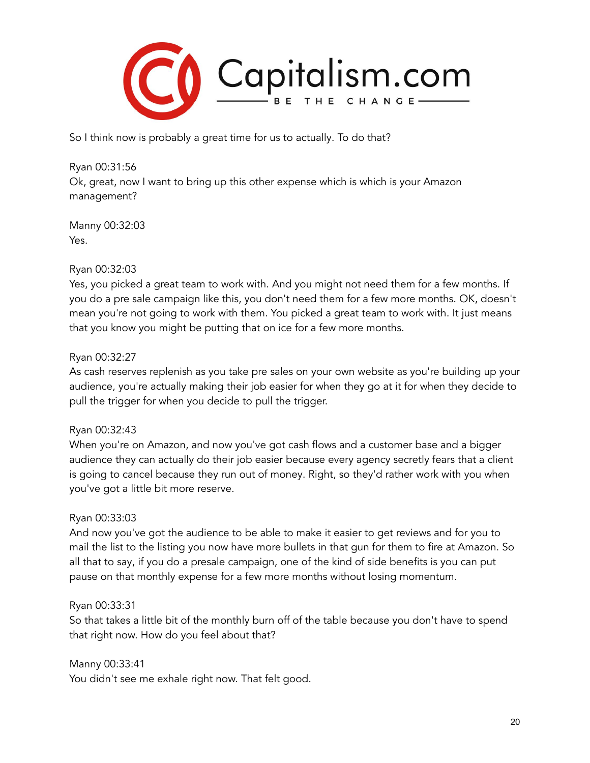

So I think now is probably a great time for us to actually. To do that?

Ryan 00:31:56 Ok, great, now I want to bring up this other expense which is which is your Amazon management?

Manny 00:32:03 Yes.

## Ryan 00:32:03

Yes, you picked a great team to work with. And you might not need them for a few months. If you do a pre sale campaign like this, you don't need them for a few more months. OK, doesn't mean you're not going to work with them. You picked a great team to work with. It just means that you know you might be putting that on ice for a few more months.

## Ryan 00:32:27

As cash reserves replenish as you take pre sales on your own website as you're building up your audience, you're actually making their job easier for when they go at it for when they decide to pull the trigger for when you decide to pull the trigger.

## Ryan 00:32:43

When you're on Amazon, and now you've got cash flows and a customer base and a bigger audience they can actually do their job easier because every agency secretly fears that a client is going to cancel because they run out of money. Right, so they'd rather work with you when you've got a little bit more reserve.

## Ryan 00:33:03

And now you've got the audience to be able to make it easier to get reviews and for you to mail the list to the listing you now have more bullets in that gun for them to fire at Amazon. So all that to say, if you do a presale campaign, one of the kind of side benefits is you can put pause on that monthly expense for a few more months without losing momentum.

## Ryan 00:33:31

So that takes a little bit of the monthly burn off of the table because you don't have to spend that right now. How do you feel about that?

Manny 00:33:41 You didn't see me exhale right now. That felt good.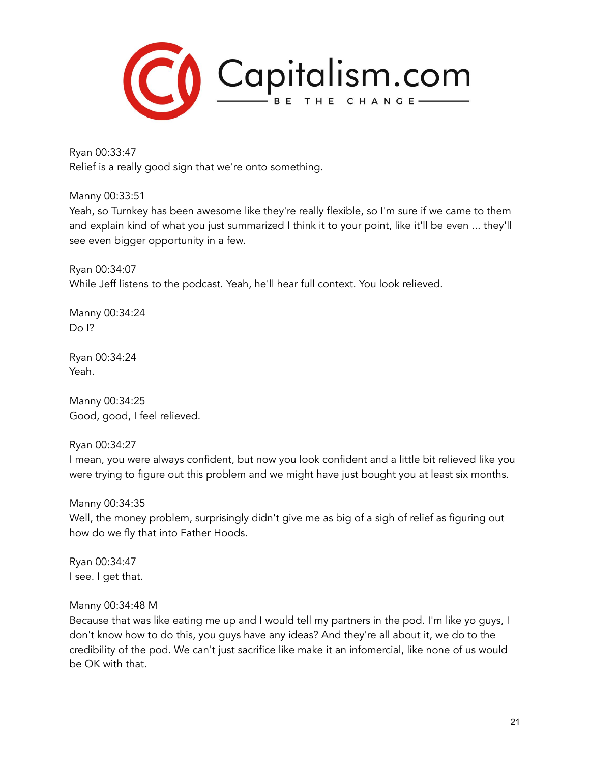

Ryan 00:33:47 Relief is a really good sign that we're onto something.

Manny 00:33:51

Yeah, so Turnkey has been awesome like they're really flexible, so I'm sure if we came to them and explain kind of what you just summarized I think it to your point, like it'll be even ... they'll see even bigger opportunity in a few.

Ryan 00:34:07 While Jeff listens to the podcast. Yeah, he'll hear full context. You look relieved.

Manny 00:34:24 Do I?

Ryan 00:34:24 Yeah.

Manny 00:34:25 Good, good, I feel relieved.

Ryan 00:34:27

I mean, you were always confident, but now you look confident and a little bit relieved like you were trying to figure out this problem and we might have just bought you at least six months.

Manny 00:34:35 Well, the money problem, surprisingly didn't give me as big of a sigh of relief as figuring out how do we fly that into Father Hoods.

Ryan 00:34:47 I see. I get that.

## Manny 00:34:48 M

Because that was like eating me up and I would tell my partners in the pod. I'm like yo guys, I don't know how to do this, you guys have any ideas? And they're all about it, we do to the credibility of the pod. We can't just sacrifice like make it an infomercial, like none of us would be OK with that.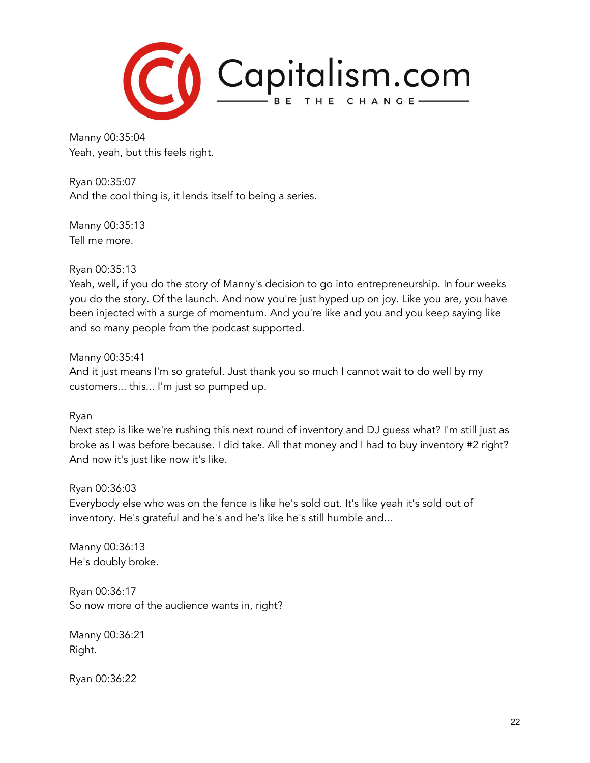

Manny 00:35:04 Yeah, yeah, but this feels right.

Ryan 00:35:07 And the cool thing is, it lends itself to being a series.

Manny 00:35:13 Tell me more.

Ryan 00:35:13

Yeah, well, if you do the story of Manny's decision to go into entrepreneurship. In four weeks you do the story. Of the launch. And now you're just hyped up on joy. Like you are, you have been injected with a surge of momentum. And you're like and you and you keep saying like and so many people from the podcast supported.

Manny 00:35:41

And it just means I'm so grateful. Just thank you so much I cannot wait to do well by my customers... this... I'm just so pumped up.

Ryan

Next step is like we're rushing this next round of inventory and DJ guess what? I'm still just as broke as I was before because. I did take. All that money and I had to buy inventory #2 right? And now it's just like now it's like.

Ryan 00:36:03

Everybody else who was on the fence is like he's sold out. It's like yeah it's sold out of inventory. He's grateful and he's and he's like he's still humble and...

Manny 00:36:13 He's doubly broke.

Ryan 00:36:17 So now more of the audience wants in, right?

Manny 00:36:21 Right.

Ryan 00:36:22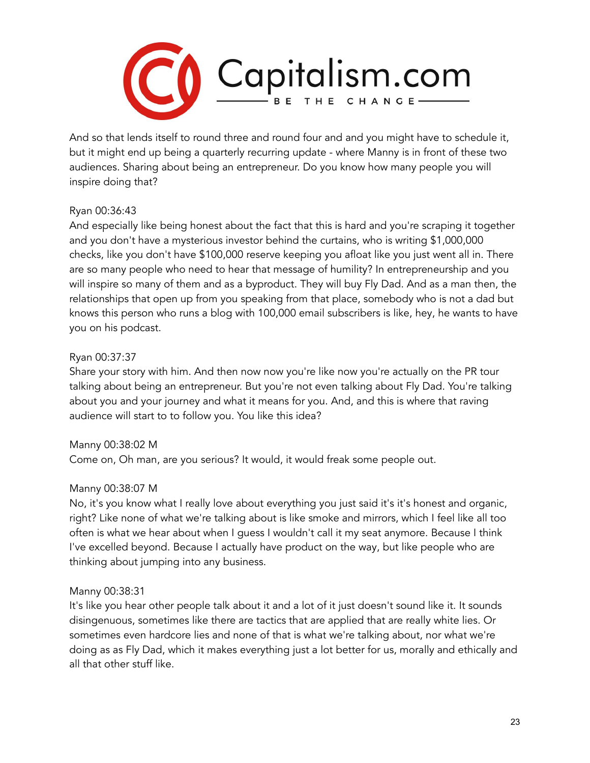

And so that lends itself to round three and round four and and you might have to schedule it, but it might end up being a quarterly recurring update - where Manny is in front of these two audiences. Sharing about being an entrepreneur. Do you know how many people you will inspire doing that?

## Ryan 00:36:43

And especially like being honest about the fact that this is hard and you're scraping it together and you don't have a mysterious investor behind the curtains, who is writing \$1,000,000 checks, like you don't have \$100,000 reserve keeping you afloat like you just went all in. There are so many people who need to hear that message of humility? In entrepreneurship and you will inspire so many of them and as a byproduct. They will buy Fly Dad. And as a man then, the relationships that open up from you speaking from that place, somebody who is not a dad but knows this person who runs a blog with 100,000 email subscribers is like, hey, he wants to have you on his podcast.

# Ryan 00:37:37

Share your story with him. And then now now you're like now you're actually on the PR tour talking about being an entrepreneur. But you're not even talking about Fly Dad. You're talking about you and your journey and what it means for you. And, and this is where that raving audience will start to to follow you. You like this idea?

## Manny 00:38:02 M

Come on, Oh man, are you serious? It would, it would freak some people out.

## Manny 00:38:07 M

No, it's you know what I really love about everything you just said it's it's honest and organic, right? Like none of what we're talking about is like smoke and mirrors, which I feel like all too often is what we hear about when I guess I wouldn't call it my seat anymore. Because I think I've excelled beyond. Because I actually have product on the way, but like people who are thinking about jumping into any business.

## Manny 00:38:31

It's like you hear other people talk about it and a lot of it just doesn't sound like it. It sounds disingenuous, sometimes like there are tactics that are applied that are really white lies. Or sometimes even hardcore lies and none of that is what we're talking about, nor what we're doing as as Fly Dad, which it makes everything just a lot better for us, morally and ethically and all that other stuff like.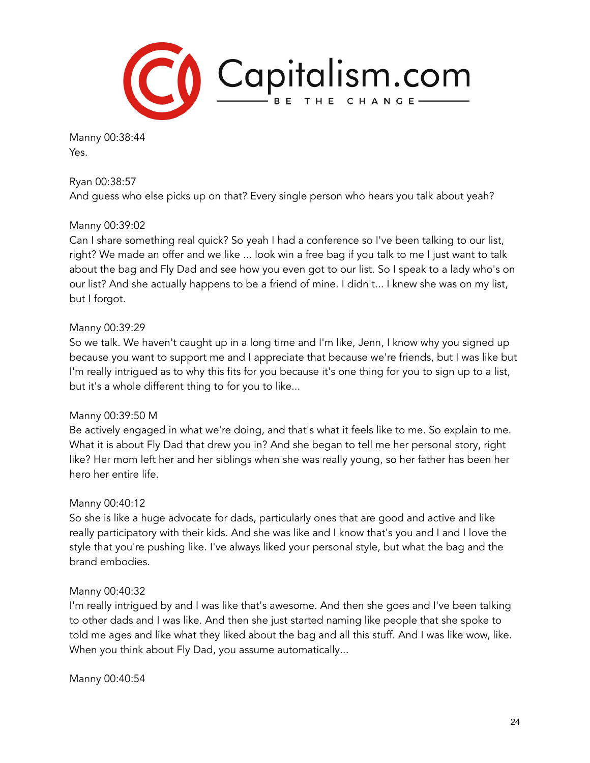

Manny 00:38:44 Yes.

Ryan 00:38:57

And guess who else picks up on that? Every single person who hears you talk about yeah?

## Manny 00:39:02

Can I share something real quick? So yeah I had a conference so I've been talking to our list, right? We made an offer and we like ... look win a free bag if you talk to me I just want to talk about the bag and Fly Dad and see how you even got to our list. So I speak to a lady who's on our list? And she actually happens to be a friend of mine. I didn't... I knew she was on my list, but I forgot.

#### Manny 00:39:29

So we talk. We haven't caught up in a long time and I'm like, Jenn, I know why you signed up because you want to support me and I appreciate that because we're friends, but I was like but I'm really intrigued as to why this fits for you because it's one thing for you to sign up to a list, but it's a whole different thing to for you to like...

#### Manny 00:39:50 M

Be actively engaged in what we're doing, and that's what it feels like to me. So explain to me. What it is about Fly Dad that drew you in? And she began to tell me her personal story, right like? Her mom left her and her siblings when she was really young, so her father has been her hero her entire life.

## Manny 00:40:12

So she is like a huge advocate for dads, particularly ones that are good and active and like really participatory with their kids. And she was like and I know that's you and I and I love the style that you're pushing like. I've always liked your personal style, but what the bag and the brand embodies.

#### Manny 00:40:32

I'm really intrigued by and I was like that's awesome. And then she goes and I've been talking to other dads and I was like. And then she just started naming like people that she spoke to told me ages and like what they liked about the bag and all this stuff. And I was like wow, like. When you think about Fly Dad, you assume automatically...

Manny 00:40:54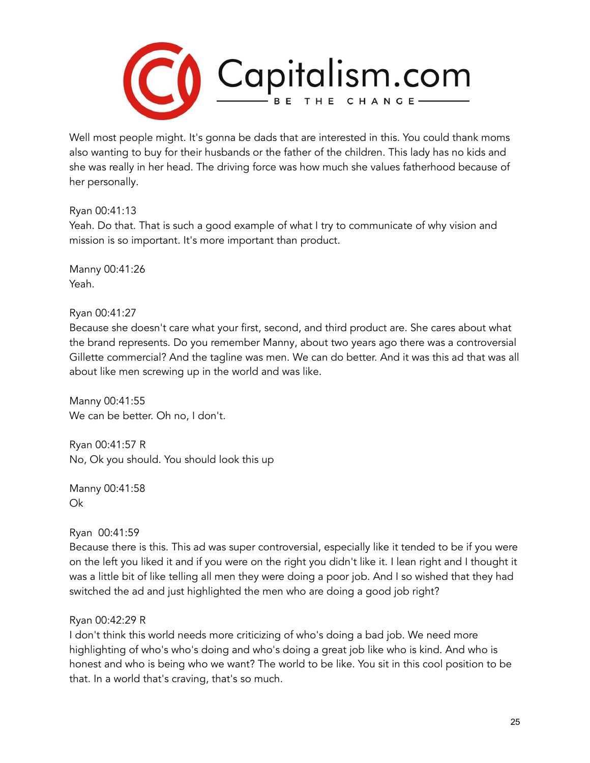

Well most people might. It's gonna be dads that are interested in this. You could thank moms also wanting to buy for their husbands or the father of the children. This lady has no kids and she was really in her head. The driving force was how much she values fatherhood because of her personally.

Ryan 00:41:13

Yeah. Do that. That is such a good example of what I try to communicate of why vision and mission is so important. It's more important than product.

Manny 00:41:26 Yeah.

Ryan 00:41:27

Because she doesn't care what your first, second, and third product are. She cares about what the brand represents. Do you remember Manny, about two years ago there was a controversial Gillette commercial? And the tagline was men. We can do better. And it was this ad that was all about like men screwing up in the world and was like.

Manny 00:41:55 We can be better. Oh no, I don't.

Ryan 00:41:57 R No, Ok you should. You should look this up

Manny 00:41:58 Ok

Ryan 00:41:59

Because there is this. This ad was super controversial, especially like it tended to be if you were on the left you liked it and if you were on the right you didn't like it. I lean right and I thought it was a little bit of like telling all men they were doing a poor job. And I so wished that they had switched the ad and just highlighted the men who are doing a good job right?

# Ryan 00:42:29 R

I don't think this world needs more criticizing of who's doing a bad job. We need more highlighting of who's who's doing and who's doing a great job like who is kind. And who is honest and who is being who we want? The world to be like. You sit in this cool position to be that. In a world that's craving, that's so much.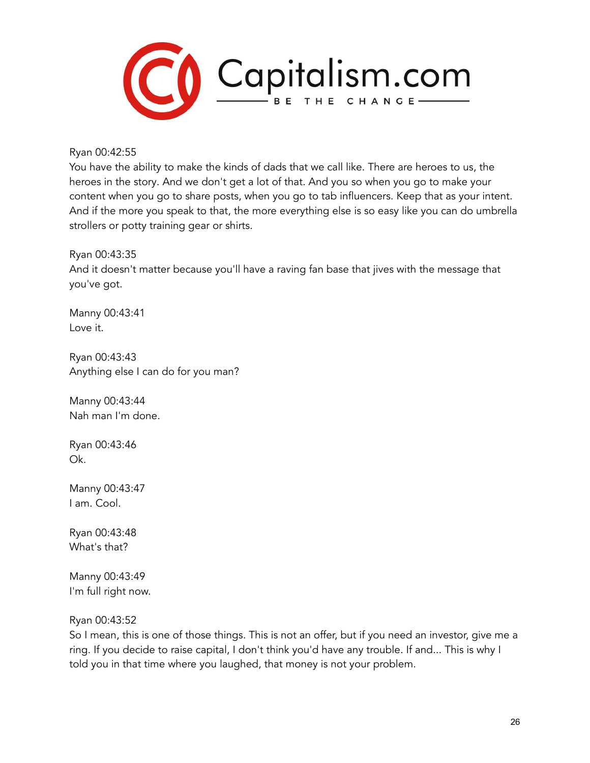

Ryan 00:42:55

You have the ability to make the kinds of dads that we call like. There are heroes to us, the heroes in the story. And we don't get a lot of that. And you so when you go to make your content when you go to share posts, when you go to tab influencers. Keep that as your intent. And if the more you speak to that, the more everything else is so easy like you can do umbrella strollers or potty training gear or shirts.

Ryan 00:43:35

And it doesn't matter because you'll have a raving fan base that jives with the message that you've got.

Manny 00:43:41 Love it.

Ryan 00:43:43 Anything else I can do for you man?

Manny 00:43:44 Nah man I'm done.

Ryan 00:43:46 Ok.

Manny 00:43:47 I am. Cool.

Ryan 00:43:48 What's that?

Manny 00:43:49 I'm full right now.

Ryan 00:43:52

So I mean, this is one of those things. This is not an offer, but if you need an investor, give me a ring. If you decide to raise capital, I don't think you'd have any trouble. If and... This is why I told you in that time where you laughed, that money is not your problem.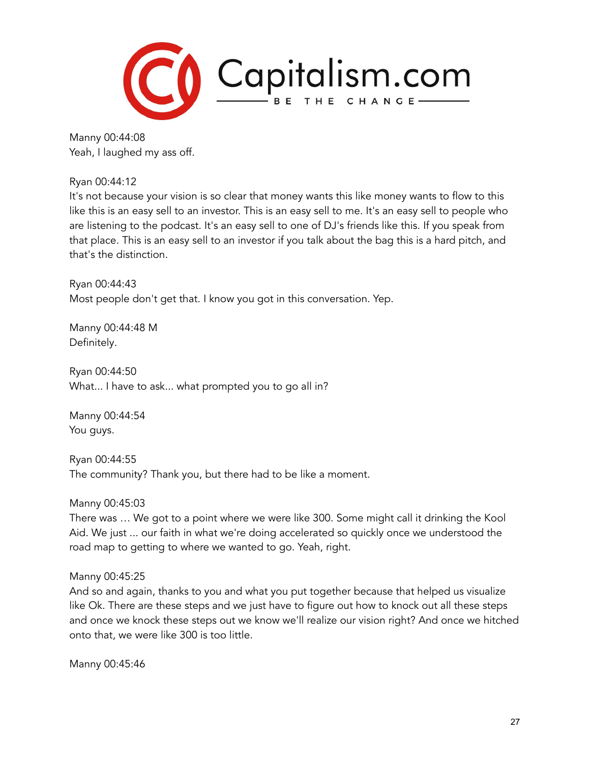

Manny 00:44:08 Yeah, I laughed my ass off.

Ryan 00:44:12

It's not because your vision is so clear that money wants this like money wants to flow to this like this is an easy sell to an investor. This is an easy sell to me. It's an easy sell to people who are listening to the podcast. It's an easy sell to one of DJ's friends like this. If you speak from that place. This is an easy sell to an investor if you talk about the bag this is a hard pitch, and that's the distinction.

Ryan 00:44:43 Most people don't get that. I know you got in this conversation. Yep.

Manny 00:44:48 M Definitely.

Ryan 00:44:50 What... I have to ask... what prompted you to go all in?

Manny 00:44:54 You guys.

Ryan 00:44:55 The community? Thank you, but there had to be like a moment.

Manny 00:45:03

There was … We got to a point where we were like 300. Some might call it drinking the Kool Aid. We just ... our faith in what we're doing accelerated so quickly once we understood the road map to getting to where we wanted to go. Yeah, right.

Manny 00:45:25

And so and again, thanks to you and what you put together because that helped us visualize like Ok. There are these steps and we just have to figure out how to knock out all these steps and once we knock these steps out we know we'll realize our vision right? And once we hitched onto that, we were like 300 is too little.

Manny 00:45:46